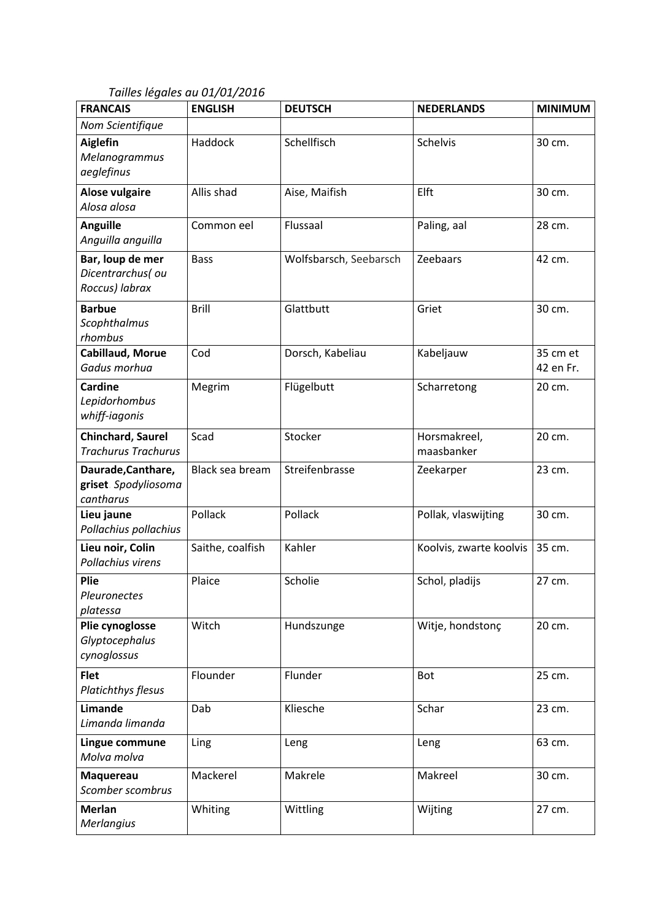*Tailles légales au 01/01/2016*

| <b>FRANCAIS</b>                                         | <b>ENGLISH</b>   | <b>DEUTSCH</b>         | <b>NEDERLANDS</b>          | <b>MINIMUM</b>        |
|---------------------------------------------------------|------------------|------------------------|----------------------------|-----------------------|
| Nom Scientifique                                        |                  |                        |                            |                       |
| <b>Aiglefin</b><br>Melanogrammus<br>aeglefinus          | Haddock          | Schellfisch            | <b>Schelvis</b>            | 30 cm.                |
| <b>Alose vulgaire</b><br>Alosa alosa                    | Allis shad       | Aise, Maifish          | Elft                       | 30 cm.                |
| <b>Anguille</b><br>Anguilla anguilla                    | Common eel       | Flussaal               | Paling, aal                | 28 cm.                |
| Bar, loup de mer<br>Dicentrarchus(ou<br>Roccus) labrax  | <b>Bass</b>      | Wolfsbarsch, Seebarsch | Zeebaars                   | 42 cm.                |
| <b>Barbue</b><br><b>Scophthalmus</b><br>rhombus         | <b>Brill</b>     | Glattbutt              | Griet                      | 30 cm.                |
| Cabillaud, Morue<br>Gadus morhua                        | Cod              | Dorsch, Kabeliau       | Kabeljauw                  | 35 cm et<br>42 en Fr. |
| <b>Cardine</b><br>Lepidorhombus<br>whiff-iagonis        | Megrim           | Flügelbutt             | Scharretong                | 20 cm.                |
| Chinchard, Saurel<br><b>Trachurus Trachurus</b>         | Scad             | Stocker                | Horsmakreel,<br>maasbanker | 20 cm.                |
| Daurade, Canthare,<br>griset. Spodyliosoma<br>cantharus | Black sea bream  | Streifenbrasse         | Zeekarper                  | 23 cm.                |
| Lieu jaune<br>Pollachius pollachius                     | Pollack          | Pollack                | Pollak, vlaswijting        | 30 cm.                |
| Lieu noir, Colin<br>Pollachius virens                   | Saithe, coalfish | Kahler                 | Koolvis, zwarte koolvis    | 35 cm.                |
| Plie<br>Pleuronectes<br>platessa                        | Plaice           | Scholie                | Schol, pladijs             | 27 cm.                |
| Plie cynoglosse<br>Glyptocephalus<br>cynoglossus        | Witch            | Hundszunge             | Witje, hondstonç           | 20 cm.                |
| <b>Flet</b><br>Platichthys flesus                       | Flounder         | Flunder                | Bot                        | 25 cm.                |
| Limande<br>Limanda limanda                              | Dab              | Kliesche               | Schar                      | 23 cm.                |
| Lingue commune<br>Molva molva                           | Ling             | Leng                   | Leng                       | 63 cm.                |
| Maquereau<br>Scomber scombrus                           | Mackerel         | Makrele                | Makreel                    | 30 cm.                |
| Merlan<br>Merlangius                                    | Whiting          | Wittling               | Wijting                    | 27 cm.                |